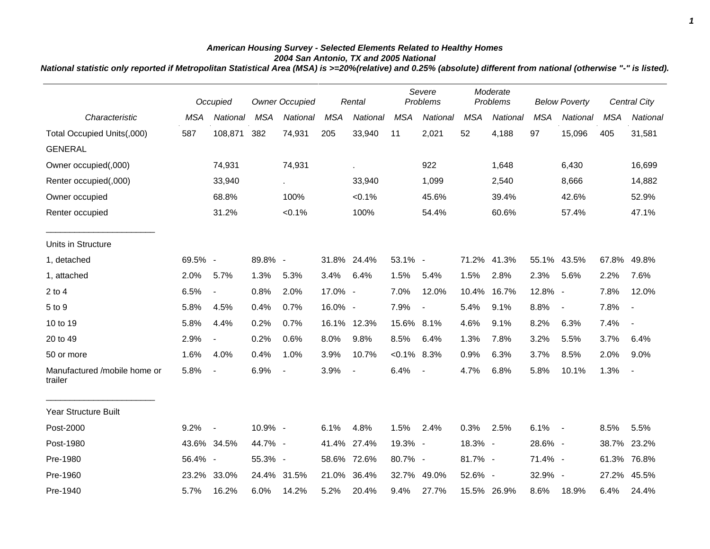## *American Housing Survey - Selected Elements Related to Healthy Homes 2004 San Antonio, TX and 2005 National*

*National statistic only reported if Metropolitan Statistical Area (MSA) is >=20%(relative) and 0.25% (absolute) different from national (otherwise "-" is listed).*

|                                         |            | Occupied                 | <b>Owner Occupied</b> |             | Rental     |                | Severe<br>Problems |                          | Moderate<br>Problems |             | <b>Below Poverty</b> |                | Central City |                          |
|-----------------------------------------|------------|--------------------------|-----------------------|-------------|------------|----------------|--------------------|--------------------------|----------------------|-------------|----------------------|----------------|--------------|--------------------------|
| Characteristic                          | <b>MSA</b> | National                 | <b>MSA</b>            | National    | <b>MSA</b> | National       | <b>MSA</b>         | <b>National</b>          | <b>MSA</b>           | National    | <b>MSA</b>           | National       | <b>MSA</b>   | National                 |
| Total Occupied Units(,000)              | 587        | 108,871                  | 382                   | 74,931      | 205        | 33,940         | 11                 | 2,021                    | 52                   | 4,188       | 97                   | 15,096         | 405          | 31,581                   |
| <b>GENERAL</b>                          |            |                          |                       |             |            |                |                    |                          |                      |             |                      |                |              |                          |
| Owner occupied(,000)                    |            | 74,931                   |                       | 74,931      |            | ä,             |                    | 922                      |                      | 1,648       |                      | 6,430          |              | 16,699                   |
| Renter occupied(,000)                   |            | 33,940                   |                       | $\epsilon$  |            | 33,940         |                    | 1,099                    |                      | 2,540       |                      | 8,666          |              | 14,882                   |
| Owner occupied                          |            | 68.8%                    |                       | 100%        |            | $< 0.1\%$      |                    | 45.6%                    |                      | 39.4%       |                      | 42.6%          |              | 52.9%                    |
| Renter occupied                         |            | 31.2%                    |                       | < 0.1%      |            | 100%           |                    | 54.4%                    |                      | 60.6%       |                      | 57.4%          |              | 47.1%                    |
| Units in Structure                      |            |                          |                       |             |            |                |                    |                          |                      |             |                      |                |              |                          |
| 1, detached                             | 69.5% -    |                          | 89.8% -               |             |            | 31.8% 24.4%    | 53.1% -            |                          | 71.2%                | 41.3%       |                      | 55.1% 43.5%    | 67.8%        | 49.8%                    |
| 1, attached                             | 2.0%       | 5.7%                     | 1.3%                  | 5.3%        | 3.4%       | 6.4%           | 1.5%               | 5.4%                     | 1.5%                 | 2.8%        | 2.3%                 | 5.6%           | 2.2%         | 7.6%                     |
| $2$ to 4                                | 6.5%       | $\blacksquare$           | 0.8%                  | 2.0%        | 17.0% -    |                | 7.0%               | 12.0%                    | 10.4%                | 16.7%       | 12.8% -              |                | 7.8%         | 12.0%                    |
| 5 to 9                                  | 5.8%       | 4.5%                     | 0.4%                  | 0.7%        | 16.0% -    |                | 7.9%               | $\blacksquare$           | 5.4%                 | 9.1%        | 8.8%                 | $\blacksquare$ | 7.8%         | $\overline{\phantom{a}}$ |
| 10 to 19                                | 5.8%       | 4.4%                     | 0.2%                  | 0.7%        |            | 16.1% 12.3%    | 15.6% 8.1%         |                          | 4.6%                 | 9.1%        | 8.2%                 | 6.3%           | 7.4%         | $\blacksquare$           |
| 20 to 49                                | 2.9%       | $\overline{\phantom{a}}$ | 0.2%                  | 0.6%        | 8.0%       | 9.8%           | 8.5%               | 6.4%                     | 1.3%                 | 7.8%        | 3.2%                 | 5.5%           | 3.7%         | 6.4%                     |
| 50 or more                              | 1.6%       | 4.0%                     | 0.4%                  | 1.0%        | 3.9%       | 10.7%          | $< 0.1\%$ 8.3%     |                          | 0.9%                 | 6.3%        | 3.7%                 | 8.5%           | 2.0%         | 9.0%                     |
| Manufactured /mobile home or<br>trailer | 5.8%       | $\overline{\phantom{a}}$ | 6.9%                  |             | 3.9%       | $\blacksquare$ | 6.4%               | $\overline{\phantom{a}}$ | 4.7%                 | 6.8%        | 5.8%                 | 10.1%          | 1.3%         | $\blacksquare$           |
| Year Structure Built                    |            |                          |                       |             |            |                |                    |                          |                      |             |                      |                |              |                          |
| Post-2000                               | 9.2%       | $\overline{\phantom{a}}$ | 10.9% -               |             | 6.1%       | 4.8%           | 1.5%               | 2.4%                     | 0.3%                 | 2.5%        | $6.1\% -$            |                | 8.5%         | 5.5%                     |
| Post-1980                               |            | 43.6% 34.5%              | 44.7% -               |             |            | 41.4% 27.4%    | 19.3% -            |                          | 18.3% -              |             | 28.6% -              |                | 38.7%        | 23.2%                    |
| Pre-1980                                | 56.4% -    |                          | 55.3% -               |             | 58.6%      | 72.6%          | 80.7% -            |                          | 81.7% -              |             | 71.4% -              |                | 61.3%        | 76.8%                    |
| Pre-1960                                | 23.2%      | 33.0%                    |                       | 24.4% 31.5% | 21.0%      | 36.4%          | 32.7%              | 49.0%                    | 52.6% -              |             | 32.9% -              |                | 27.2%        | 45.5%                    |
| Pre-1940                                | 5.7%       | 16.2%                    | 6.0%                  | 14.2%       | 5.2%       | 20.4%          | 9.4%               | 27.7%                    |                      | 15.5% 26.9% | 8.6%                 | 18.9%          | 6.4%         | 24.4%                    |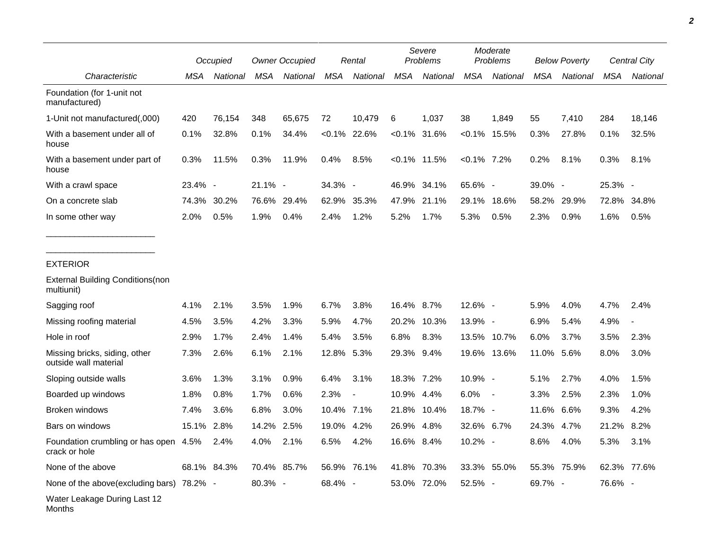|                                                        | Occupied |             | <b>Owner Occupied</b> |             | Rental     |                          | Severe<br>Problems |                 | Moderate<br>Problems |                          | <b>Below Poverty</b> |             | Central City |             |
|--------------------------------------------------------|----------|-------------|-----------------------|-------------|------------|--------------------------|--------------------|-----------------|----------------------|--------------------------|----------------------|-------------|--------------|-------------|
| Characteristic                                         | MSA      | National    | <b>MSA</b>            | National    | <b>MSA</b> | National                 | <b>MSA</b>         | National        | <b>MSA</b>           | National                 | <b>MSA</b>           | National    | <b>MSA</b>   | National    |
| Foundation (for 1-unit not<br>manufactured)            |          |             |                       |             |            |                          |                    |                 |                      |                          |                      |             |              |             |
| 1-Unit not manufactured(,000)                          | 420      | 76,154      | 348                   | 65,675      | 72         | 10,479                   | 6                  | 1,037           | 38                   | 1,849                    | 55                   | 7,410       | 284          | 18,146      |
| With a basement under all of<br>house                  | 0.1%     | 32.8%       | 0.1%                  | 34.4%       |            | $< 0.1\%$ 22.6%          |                    | $< 0.1\%$ 31.6% | $< 0.1\%$            | 15.5%                    | 0.3%                 | 27.8%       | 0.1%         | 32.5%       |
| With a basement under part of<br>house                 | 0.3%     | 11.5%       | 0.3%                  | 11.9%       | 0.4%       | 8.5%                     |                    | $< 0.1\%$ 11.5% | $< 0.1\%$ 7.2%       |                          | 0.2%                 | 8.1%        | 0.3%         | 8.1%        |
| With a crawl space                                     | 23.4% -  |             | 21.1% -               |             | 34.3% -    |                          | 46.9%              | 34.1%           | 65.6% -              |                          | 39.0% -              |             | 25.3% -      |             |
| On a concrete slab                                     | 74.3%    | 30.2%       | 76.6%                 | 29.4%       | 62.9%      | 35.3%                    | 47.9%              | 21.1%           | 29.1%                | 18.6%                    | 58.2%                | 29.9%       | 72.8%        | 34.8%       |
| In some other way                                      | 2.0%     | 0.5%        | 1.9%                  | 0.4%        | 2.4%       | 1.2%                     | 5.2%               | 1.7%            | 5.3%                 | 0.5%                     | 2.3%                 | 0.9%        | 1.6%         | 0.5%        |
| <b>EXTERIOR</b>                                        |          |             |                       |             |            |                          |                    |                 |                      |                          |                      |             |              |             |
| <b>External Building Conditions (non</b><br>multiunit) |          |             |                       |             |            |                          |                    |                 |                      |                          |                      |             |              |             |
| Sagging roof                                           | 4.1%     | 2.1%        | 3.5%                  | 1.9%        | 6.7%       | 3.8%                     | 16.4% 8.7%         |                 | 12.6% -              |                          | 5.9%                 | 4.0%        | 4.7%         | 2.4%        |
| Missing roofing material                               | 4.5%     | 3.5%        | 4.2%                  | 3.3%        | 5.9%       | 4.7%                     | 20.2%              | 10.3%           | 13.9% -              |                          | 6.9%                 | 5.4%        | 4.9%         |             |
| Hole in roof                                           | 2.9%     | 1.7%        | 2.4%                  | 1.4%        | 5.4%       | 3.5%                     | 6.8%               | 8.3%            |                      | 13.5% 10.7%              | 6.0%                 | 3.7%        | 3.5%         | 2.3%        |
| Missing bricks, siding, other<br>outside wall material | 7.3%     | 2.6%        | 6.1%                  | 2.1%        | 12.8%      | 5.3%                     | 29.3% 9.4%         |                 |                      | 19.6% 13.6%              | 11.0%                | 5.6%        | 8.0%         | 3.0%        |
| Sloping outside walls                                  | 3.6%     | 1.3%        | 3.1%                  | 0.9%        | 6.4%       | 3.1%                     | 18.3% 7.2%         |                 | 10.9% -              |                          | 5.1%                 | 2.7%        | 4.0%         | 1.5%        |
| Boarded up windows                                     | 1.8%     | 0.8%        | 1.7%                  | 0.6%        | 2.3%       | $\overline{\phantom{a}}$ | 10.9% 4.4%         |                 | 6.0%                 | $\overline{\phantom{a}}$ | 3.3%                 | 2.5%        | 2.3%         | 1.0%        |
| Broken windows                                         | 7.4%     | 3.6%        | 6.8%                  | 3.0%        | 10.4%      | 7.1%                     | 21.8%              | 10.4%           | 18.7% -              |                          | 11.6%                | 6.6%        | 9.3%         | 4.2%        |
| Bars on windows                                        | 15.1%    | 2.8%        | 14.2%                 | 2.5%        | 19.0%      | 4.2%                     | 26.9%              | 4.8%            | 32.6% 6.7%           |                          | 24.3%                | 4.7%        | 21.2%        | 8.2%        |
| Foundation crumbling or has open 4.5%<br>crack or hole |          | 2.4%        | 4.0%                  | 2.1%        | 6.5%       | 4.2%                     | 16.6% 8.4%         |                 | 10.2% -              |                          | 8.6%                 | 4.0%        | 5.3%         | 3.1%        |
| None of the above                                      |          | 68.1% 84.3% |                       | 70.4% 85.7% |            | 56.9% 76.1%              |                    | 41.8% 70.3%     |                      | 33.3% 55.0%              |                      | 55.3% 75.9% |              | 62.3% 77.6% |
| None of the above(excluding bars) 78.2% -              |          |             | 80.3% -               |             | 68.4% -    |                          |                    | 53.0% 72.0%     | 52.5% -              |                          | 69.7% -              |             | 76.6% -      |             |
| Water Leakage During Last 12<br>Months                 |          |             |                       |             |            |                          |                    |                 |                      |                          |                      |             |              |             |

*2*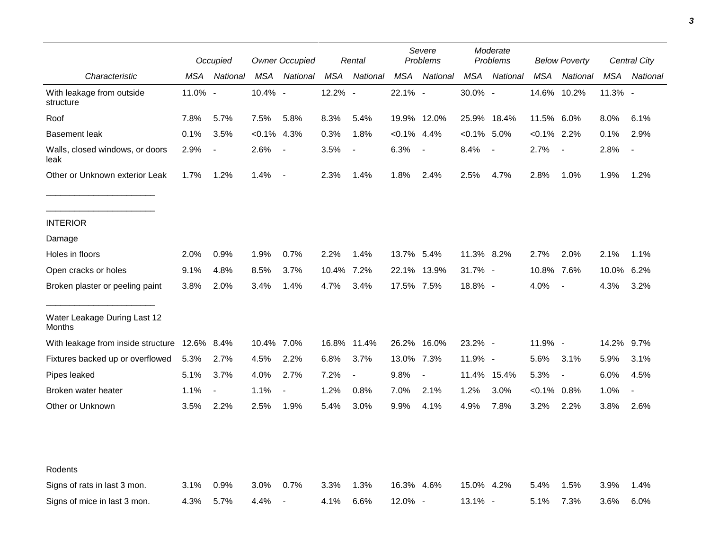|                                         |            | Occupied                 | <b>Owner Occupied</b> |                          | Rental     |                          | Severe<br>Problems |                | Moderate<br>Problems |                          | <b>Below Poverty</b> |                          | <b>Central City</b> |                          |
|-----------------------------------------|------------|--------------------------|-----------------------|--------------------------|------------|--------------------------|--------------------|----------------|----------------------|--------------------------|----------------------|--------------------------|---------------------|--------------------------|
| Characteristic                          | MSA        | National                 | MSA                   | National                 | MSA        | National                 | MSA                | National       | MSA                  | National                 | MSA                  | National                 | MSA                 | National                 |
| With leakage from outside<br>structure  | 11.0% -    |                          | 10.4% -               |                          | 12.2% -    |                          | 22.1% -            |                | 30.0% -              |                          |                      | 14.6% 10.2%              | $11.3%$ -           |                          |
| Roof                                    | 7.8%       | 5.7%                     | 7.5%                  | 5.8%                     | 8.3%       | 5.4%                     |                    | 19.9% 12.0%    |                      | 25.9% 18.4%              | 11.5% 6.0%           |                          | 8.0%                | 6.1%                     |
| <b>Basement leak</b>                    | 0.1%       | 3.5%                     | $< 0.1\%$             | 4.3%                     | 0.3%       | 1.8%                     | $< 0.1\%$ 4.4%     |                | $< 0.1\%$ 5.0%       |                          | $< 0.1\%$ 2.2%       |                          | 0.1%                | 2.9%                     |
| Walls, closed windows, or doors<br>leak | 2.9%       | $\overline{\phantom{a}}$ | 2.6%                  | $\overline{\phantom{a}}$ | 3.5%       | $\blacksquare$           | 6.3%               | $\blacksquare$ | 8.4%                 | $\overline{\phantom{a}}$ | 2.7%                 | $\overline{\phantom{a}}$ | 2.8%                | $\overline{\phantom{a}}$ |
| Other or Unknown exterior Leak          | 1.7%       | 1.2%                     | 1.4%                  | $\overline{\phantom{a}}$ | 2.3%       | 1.4%                     | 1.8%               | 2.4%           | 2.5%                 | 4.7%                     | 2.8%                 | 1.0%                     | 1.9%                | 1.2%                     |
| <b>INTERIOR</b>                         |            |                          |                       |                          |            |                          |                    |                |                      |                          |                      |                          |                     |                          |
| Damage                                  |            |                          |                       |                          |            |                          |                    |                |                      |                          |                      |                          |                     |                          |
| Holes in floors                         | 2.0%       | 0.9%                     | 1.9%                  | 0.7%                     | 2.2%       | 1.4%                     | 13.7% 5.4%         |                | 11.3% 8.2%           |                          | 2.7%                 | 2.0%                     | 2.1%                | 1.1%                     |
| Open cracks or holes                    | 9.1%       | 4.8%                     | 8.5%                  | 3.7%                     | 10.4% 7.2% |                          |                    | 22.1% 13.9%    | $31.7\%$ -           |                          | 10.8% 7.6%           |                          | 10.0%               | 6.2%                     |
| Broken plaster or peeling paint         | 3.8%       | 2.0%                     | 3.4%                  | 1.4%                     | 4.7%       | 3.4%                     | 17.5% 7.5%         |                | 18.8% -              |                          | 4.0%                 | $\overline{\phantom{a}}$ | 4.3%                | 3.2%                     |
| Water Leakage During Last 12<br>Months  |            |                          |                       |                          |            |                          |                    |                |                      |                          |                      |                          |                     |                          |
| With leakage from inside structure      | 12.6% 8.4% |                          | 10.4% 7.0%            |                          |            | 16.8% 11.4%              |                    | 26.2% 16.0%    | $23.2\%$ -           |                          | 11.9% -              |                          | 14.2%               | 9.7%                     |
| Fixtures backed up or overflowed        | 5.3%       | 2.7%                     | 4.5%                  | 2.2%                     | 6.8%       | 3.7%                     | 13.0% 7.3%         |                | 11.9% -              |                          | 5.6%                 | 3.1%                     | 5.9%                | 3.1%                     |
| Pipes leaked                            | 5.1%       | 3.7%                     | 4.0%                  | 2.7%                     | 7.2%       | $\overline{\phantom{a}}$ | 9.8%               |                | 11.4%                | 15.4%                    | 5.3%                 | $\overline{\phantom{a}}$ | 6.0%                | 4.5%                     |
| Broken water heater                     | 1.1%       | $\overline{\phantom{a}}$ | 1.1%                  | $\blacksquare$           | 1.2%       | 0.8%                     | 7.0%               | 2.1%           | 1.2%                 | 3.0%                     | $< 0.1\%$            | $0.8\%$                  | 1.0%                | $\blacksquare$           |
| Other or Unknown                        | 3.5%       | 2.2%                     | 2.5%                  | 1.9%                     | 5.4%       | 3.0%                     | 9.9%               | 4.1%           | 4.9%                 | 7.8%                     | 3.2%                 | 2.2%                     | 3.8%                | 2.6%                     |
| Rodents                                 |            |                          |                       |                          |            |                          |                    |                |                      |                          |                      |                          |                     |                          |
| Signs of rats in last 3 mon.            | 3.1%       | 0.9%                     | 3.0%                  | 0.7%                     | 3.3%       | 1.3%                     | 16.3% 4.6%         |                | 15.0% 4.2%           |                          | 5.4%                 | 1.5%                     | 3.9%                | 1.4%                     |
| Signs of mice in last 3 mon.            | 4.3%       | 5.7%                     | 4.4%                  | $\overline{\phantom{a}}$ | 4.1%       | 6.6%                     | $12.0\%$ -         |                | 13.1% -              |                          | 5.1%                 | 7.3%                     | 3.6%                | 6.0%                     |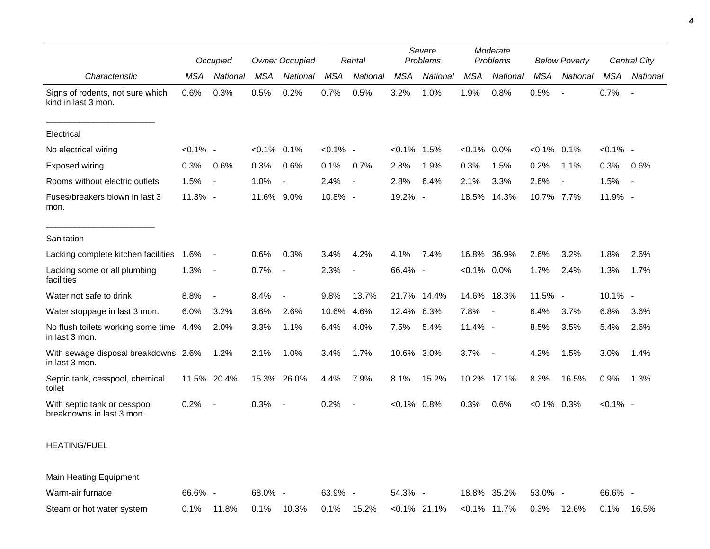|                                                           |             | Occupied                 | <b>Owner Occupied</b> |                          | Rental      |                          | Severe<br>Problems |                 | Moderate<br>Problems |                 | <b>Below Poverty</b> |                          | <b>Central City</b> |                |
|-----------------------------------------------------------|-------------|--------------------------|-----------------------|--------------------------|-------------|--------------------------|--------------------|-----------------|----------------------|-----------------|----------------------|--------------------------|---------------------|----------------|
| Characteristic                                            | <b>MSA</b>  | National                 | <b>MSA</b>            | National                 | <b>MSA</b>  | National                 | <b>MSA</b>         | National        | <b>MSA</b>           | National        | <b>MSA</b>           | National                 | <b>MSA</b>          | National       |
| Signs of rodents, not sure which<br>kind in last 3 mon.   | 0.6%        | 0.3%                     | 0.5%                  | 0.2%                     | 0.7%        | 0.5%                     | 3.2%               | 1.0%            | 1.9%                 | 0.8%            | 0.5%                 |                          | 0.7%                | $\blacksquare$ |
| Electrical                                                |             |                          |                       |                          |             |                          |                    |                 |                      |                 |                      |                          |                     |                |
| No electrical wiring                                      | $< 0.1\%$ - |                          | $< 0.1\%$ 0.1%        |                          | $< 0.1\%$ - |                          | $< 0.1\%$          | 1.5%            | $< 0.1\%$            | $0.0\%$         | $< 0.1\%$ 0.1%       |                          | $< 0.1\%$ -         |                |
| <b>Exposed wiring</b>                                     | 0.3%        | 0.6%                     | 0.3%                  | 0.6%                     | 0.1%        | 0.7%                     | 2.8%               | 1.9%            | 0.3%                 | 1.5%            | 0.2%                 | 1.1%                     | 0.3%                | 0.6%           |
| Rooms without electric outlets                            | 1.5%        | $\blacksquare$           | 1.0%                  | $\blacksquare$           | 2.4%        | $\overline{\phantom{a}}$ | 2.8%               | 6.4%            | 2.1%                 | 3.3%            | 2.6%                 | $\overline{\phantom{a}}$ | 1.5%                | $\blacksquare$ |
| Fuses/breakers blown in last 3<br>mon.                    | 11.3% -     |                          | 11.6% 9.0%            |                          | 10.8% -     |                          | 19.2% -            |                 | 18.5%                | 14.3%           | 10.7% 7.7%           |                          | 11.9% -             |                |
| Sanitation                                                |             |                          |                       |                          |             |                          |                    |                 |                      |                 |                      |                          |                     |                |
| Lacking complete kitchen facilities                       | 1.6%        | $\overline{\phantom{a}}$ | 0.6%                  | 0.3%                     | 3.4%        | 4.2%                     | 4.1%               | 7.4%            | 16.8%                | 36.9%           | 2.6%                 | 3.2%                     | 1.8%                | 2.6%           |
| Lacking some or all plumbing<br>facilities                | 1.3%        | $\overline{\phantom{a}}$ | 0.7%                  | $\overline{\phantom{a}}$ | 2.3%        | $\overline{\phantom{a}}$ | 66.4% -            |                 | $< 0.1\%$ 0.0%       |                 | 1.7%                 | 2.4%                     | 1.3%                | 1.7%           |
| Water not safe to drink                                   | 8.8%        | $\overline{\phantom{a}}$ | 8.4%                  | $\blacksquare$           | 9.8%        | 13.7%                    | 21.7%              | 14.4%           |                      | 14.6% 18.3%     | 11.5% -              |                          | 10.1% -             |                |
| Water stoppage in last 3 mon.                             | 6.0%        | 3.2%                     | 3.6%                  | 2.6%                     | 10.6%       | 4.6%                     | 12.4%              | 6.3%            | 7.8%                 | $\sim$          | 6.4%                 | 3.7%                     | 6.8%                | 3.6%           |
| No flush toilets working some time 4.4%<br>in last 3 mon. |             | 2.0%                     | 3.3%                  | 1.1%                     | 6.4%        | 4.0%                     | 7.5%               | 5.4%            | $11.4\%$ -           |                 | 8.5%                 | 3.5%                     | 5.4%                | 2.6%           |
| With sewage disposal breakdowns 2.6%<br>in last 3 mon.    |             | 1.2%                     | 2.1%                  | 1.0%                     | 3.4%        | 1.7%                     | 10.6% 3.0%         |                 | 3.7%                 | $\sim$ $-$      | 4.2%                 | 1.5%                     | 3.0%                | 1.4%           |
| Septic tank, cesspool, chemical<br>toilet                 |             | 11.5% 20.4%              |                       | 15.3% 26.0%              | 4.4%        | 7.9%                     | 8.1%               | 15.2%           |                      | 10.2% 17.1%     | 8.3%                 | 16.5%                    | 0.9%                | 1.3%           |
| With septic tank or cesspool<br>breakdowns in last 3 mon. | 0.2%        |                          | 0.3%                  | $\overline{\phantom{a}}$ | 0.2%        |                          | $< 0.1\%$ 0.8%     |                 | 0.3%                 | 0.6%            | $< 0.1\%$ 0.3%       |                          | $< 0.1\%$ -         |                |
| <b>HEATING/FUEL</b>                                       |             |                          |                       |                          |             |                          |                    |                 |                      |                 |                      |                          |                     |                |
| Main Heating Equipment                                    |             |                          |                       |                          |             |                          |                    |                 |                      |                 |                      |                          |                     |                |
| Warm-air furnace                                          | 66.6% -     |                          | 68.0% -               |                          | 63.9% -     |                          | 54.3% -            |                 |                      | 18.8% 35.2%     | 53.0% -              |                          | 66.6% -             |                |
| Steam or hot water system                                 | 0.1%        | 11.8%                    | 0.1%                  | 10.3%                    | 0.1%        | 15.2%                    |                    | $< 0.1\%$ 21.1% |                      | $< 0.1\%$ 11.7% | 0.3%                 | 12.6%                    | 0.1%                | 16.5%          |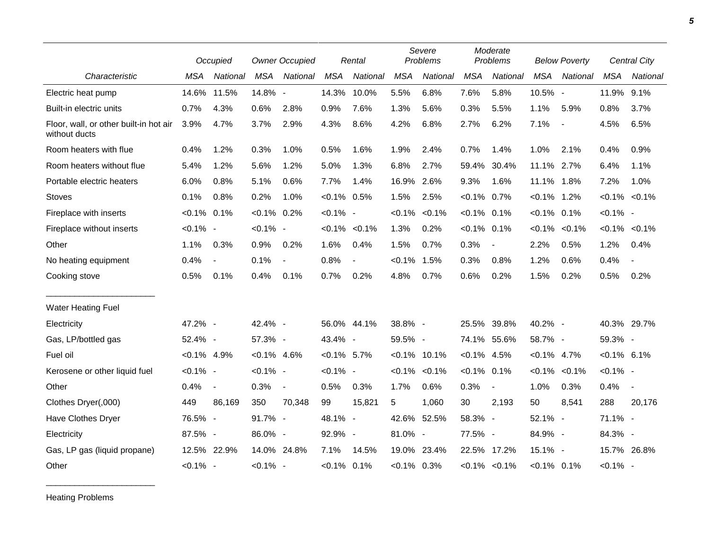|                                                         |                | Occupied                 |                | <b>Owner Occupied</b>    |                | Rental              |                | Severe<br>Problems  |                | Moderate<br>Problems |                | <b>Below Poverty</b>     |                     | Central City             |  |
|---------------------------------------------------------|----------------|--------------------------|----------------|--------------------------|----------------|---------------------|----------------|---------------------|----------------|----------------------|----------------|--------------------------|---------------------|--------------------------|--|
| Characteristic                                          | <b>MSA</b>     | National                 | <b>MSA</b>     | National                 | <b>MSA</b>     | National            | <b>MSA</b>     | National            | <b>MSA</b>     | National             | <b>MSA</b>     | National                 | <b>MSA</b>          | <b>National</b>          |  |
| Electric heat pump                                      | 14.6%          | 11.5%                    | 14.8% -        |                          | 14.3%          | 10.0%               | 5.5%           | 6.8%                | 7.6%           | 5.8%                 | 10.5% -        |                          | 11.9%               | 9.1%                     |  |
| Built-in electric units                                 | 0.7%           | 4.3%                     | 0.6%           | 2.8%                     | 0.9%           | 7.6%                | 1.3%           | 5.6%                | 0.3%           | 5.5%                 | 1.1%           | 5.9%                     | 0.8%                | 3.7%                     |  |
| Floor, wall, or other built-in hot air<br>without ducts | 3.9%           | 4.7%                     | 3.7%           | 2.9%                     | 4.3%           | 8.6%                | 4.2%           | 6.8%                | 2.7%           | 6.2%                 | 7.1%           | $\overline{\phantom{a}}$ | 4.5%                | 6.5%                     |  |
| Room heaters with flue                                  | 0.4%           | 1.2%                     | 0.3%           | 1.0%                     | 0.5%           | 1.6%                | 1.9%           | 2.4%                | 0.7%           | 1.4%                 | 1.0%           | 2.1%                     | 0.4%                | 0.9%                     |  |
| Room heaters without flue                               | 5.4%           | 1.2%                     | 5.6%           | 1.2%                     | 5.0%           | 1.3%                | 6.8%           | 2.7%                | 59.4%          | 30.4%                | 11.1% 2.7%     |                          | 6.4%                | 1.1%                     |  |
| Portable electric heaters                               | 6.0%           | 0.8%                     | 5.1%           | 0.6%                     | 7.7%           | 1.4%                | 16.9%          | 2.6%                | 9.3%           | 1.6%                 | 11.1%          | 1.8%                     | 7.2%                | 1.0%                     |  |
| <b>Stoves</b>                                           | 0.1%           | 0.8%                     | 0.2%           | 1.0%                     | $< 0.1\%$ 0.5% |                     | 1.5%           | 2.5%                | $< 0.1\%$ 0.7% |                      | $< 0.1\%$      | 1.2%                     | $< 0.1\% < 0.1\%$   |                          |  |
| Fireplace with inserts                                  | $< 0.1\%$      | 0.1%                     | $< 0.1\%$      | 0.2%                     | $< 0.1\%$ -    |                     | $< 0.1\%$      | $< 0.1\%$           | $< 0.1\%$      | 0.1%                 | $< 0.1\%$      | 0.1%                     | $< 0.1\%$ -         |                          |  |
| Fireplace without inserts                               | $< 0.1\%$ -    |                          | $< 0.1\%$ -    |                          |                | $< 0.1\%$ $< 0.1\%$ | 1.3%           | 0.2%                | $< 0.1\%$      | 0.1%                 | $< 0.1\%$      | $< 0.1\%$                | $< 0.1\%$ $< 0.1\%$ |                          |  |
| Other                                                   | 1.1%           | 0.3%                     | 0.9%           | 0.2%                     | 1.6%           | 0.4%                | 1.5%           | 0.7%                | 0.3%           | $\blacksquare$       | 2.2%           | 0.5%                     | 1.2%                | 0.4%                     |  |
| No heating equipment                                    | 0.4%           | $\overline{\phantom{a}}$ | 0.1%           | $\overline{\phantom{a}}$ | 0.8%           | $\blacksquare$      | $< 0.1\%$      | 1.5%                | 0.3%           | 0.8%                 | 1.2%           | 0.6%                     | 0.4%                | $\blacksquare$           |  |
| Cooking stove                                           | 0.5%           | 0.1%                     | 0.4%           | 0.1%                     | 0.7%           | 0.2%                | 4.8%           | 0.7%                | 0.6%           | 0.2%                 | 1.5%           | 0.2%                     | 0.5%                | 0.2%                     |  |
| <b>Water Heating Fuel</b>                               |                |                          |                |                          |                |                     |                |                     |                |                      |                |                          |                     |                          |  |
| Electricity                                             | 47.2% -        |                          | 42.4% -        |                          |                | 56.0% 44.1%         | 38.8% -        |                     | 25.5%          | 39.8%                | 40.2% -        |                          | 40.3% 29.7%         |                          |  |
| Gas, LP/bottled gas                                     | 52.4% -        |                          | 57.3% -        |                          | 43.4% -        |                     | 59.5% -        |                     |                | 74.1% 55.6%          | 58.7% -        |                          | 59.3% -             |                          |  |
| Fuel oil                                                | $< 0.1\%$ 4.9% |                          | $< 0.1\%$ 4.6% |                          | $< 0.1\%$ 5.7% |                     |                | $< 0.1\%$ 10.1%     | $< 0.1\%$ 4.5% |                      | $< 0.1\%$ 4.7% |                          | $< 0.1\%$ 6.1%      |                          |  |
| Kerosene or other liquid fuel                           | $< 0.1\%$ -    |                          | $< 0.1\%$ -    |                          | $< 0.1\%$ -    |                     |                | $< 0.1\%$ $< 0.1\%$ | $< 0.1\%$      | 0.1%                 | $< 0.1\%$      | $< 0.1\%$                | $< 0.1\%$ -         |                          |  |
| Other                                                   | 0.4%           | $\blacksquare$           | 0.3%           | $\overline{\phantom{a}}$ | 0.5%           | 0.3%                | 1.7%           | 0.6%                | 0.3%           | $\blacksquare$       | 1.0%           | 0.3%                     | 0.4%                | $\overline{\phantom{a}}$ |  |
| Clothes Dryer(,000)                                     | 449            | 86,169                   | 350            | 70,348                   | 99             | 15,821              | 5              | 1,060               | 30             | 2,193                | 50             | 8,541                    | 288                 | 20,176                   |  |
| Have Clothes Dryer                                      | 76.5% -        |                          | 91.7% -        |                          | 48.1% -        |                     | 42.6% 52.5%    |                     | 58.3% -        |                      | 52.1% -        |                          | 71.1% -             |                          |  |
| Electricity                                             | 87.5% -        |                          | 86.0% -        |                          | 92.9% -        |                     | 81.0% -        |                     | 77.5% -        |                      | 84.9% -        |                          | 84.3% -             |                          |  |
| Gas, LP gas (liquid propane)                            |                | 12.5% 22.9%              | 14.0% 24.8%    |                          | 7.1%           | 14.5%               | 19.0%          | 23.4%               |                | 22.5% 17.2%          | $15.1\% -$     |                          |                     | 15.7% 26.8%              |  |
| Other                                                   | $< 0.1\%$ -    |                          | $< 0.1\%$ -    |                          | $< 0.1\%$ 0.1% |                     | $< 0.1\%$ 0.3% |                     |                | $< 0.1\%$ $< 0.1\%$  | $< 0.1\%$ 0.1% |                          | $< 0.1\%$ -         |                          |  |

Heating Problems

\_\_\_\_\_\_\_\_\_\_\_\_\_\_\_\_\_\_\_\_\_\_\_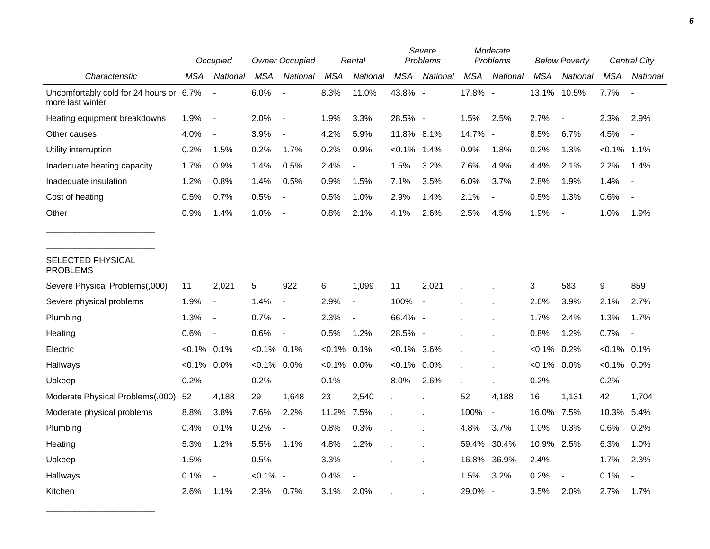|                                                             |                | Occupied                 |                | <b>Owner Occupied</b>    |            | Rental                   |                | Severe<br>Problems |            | Moderate<br><b>Problems</b> |            | <b>Below Poverty</b>     |                  | <b>Central City</b> |  |
|-------------------------------------------------------------|----------------|--------------------------|----------------|--------------------------|------------|--------------------------|----------------|--------------------|------------|-----------------------------|------------|--------------------------|------------------|---------------------|--|
| Characteristic                                              | MSA            | National                 | <b>MSA</b>     | National                 | <b>MSA</b> | National                 | <b>MSA</b>     | National           | <b>MSA</b> | National                    | <b>MSA</b> | National                 | <b>MSA</b>       | National            |  |
| Uncomfortably cold for 24 hours or 6.7%<br>more last winter |                |                          | 6.0%           | $\overline{a}$           | 8.3%       | 11.0%                    | 43.8% -        |                    | 17.8% -    |                             | 13.1%      | 10.5%                    | 7.7%             |                     |  |
| Heating equipment breakdowns                                | 1.9%           | $\overline{\phantom{a}}$ | 2.0%           | $\overline{\phantom{a}}$ | 1.9%       | 3.3%                     | 28.5% -        |                    | 1.5%       | 2.5%                        | 2.7%       | $\overline{\phantom{a}}$ | 2.3%             | 2.9%                |  |
| Other causes                                                | 4.0%           | $\overline{\phantom{a}}$ | 3.9%           | $\overline{a}$           | 4.2%       | 5.9%                     | 11.8% 8.1%     |                    | 14.7% -    |                             | 8.5%       | 6.7%                     | 4.5%             |                     |  |
| Utility interruption                                        | 0.2%           | 1.5%                     | 0.2%           | 1.7%                     | 0.2%       | 0.9%                     | $< 0.1\%$      | 1.4%               | 0.9%       | 1.8%                        | 0.2%       | 1.3%                     | $< 0.1\%$        | 1.1%                |  |
| Inadequate heating capacity                                 | 1.7%           | 0.9%                     | 1.4%           | 0.5%                     | 2.4%       | $\overline{\phantom{a}}$ | 1.5%           | 3.2%               | 7.6%       | 4.9%                        | 4.4%       | 2.1%                     | 2.2%             | 1.4%                |  |
| Inadequate insulation                                       | 1.2%           | 0.8%                     | 1.4%           | 0.5%                     | 0.9%       | 1.5%                     | 7.1%           | 3.5%               | 6.0%       | 3.7%                        | 2.8%       | 1.9%                     | 1.4%             |                     |  |
| Cost of heating                                             | 0.5%           | 0.7%                     | 0.5%           | $\overline{\phantom{a}}$ | 0.5%       | 1.0%                     | 2.9%           | 1.4%               | 2.1%       |                             | 0.5%       | 1.3%                     | 0.6%             |                     |  |
| Other                                                       | 0.9%           | 1.4%                     | 1.0%           |                          | 0.8%       | 2.1%                     | 4.1%           | 2.6%               | 2.5%       | 4.5%                        | 1.9%       | $\overline{\phantom{a}}$ | 1.0%             | 1.9%                |  |
| SELECTED PHYSICAL<br><b>PROBLEMS</b>                        |                |                          |                |                          |            |                          |                |                    |            |                             |            |                          |                  |                     |  |
| Severe Physical Problems(,000)                              | 11             | 2,021                    | 5              | 922                      | 6          | 1,099                    | 11             | 2,021              |            |                             | 3          | 583                      | $\boldsymbol{9}$ | 859                 |  |
| Severe physical problems                                    | 1.9%           | $\overline{\phantom{a}}$ | 1.4%           | $\overline{\phantom{a}}$ | 2.9%       | $\overline{\phantom{a}}$ | 100%           | $\sim$             |            |                             | 2.6%       | 3.9%                     | 2.1%             | 2.7%                |  |
| Plumbing                                                    | 1.3%           | $\overline{\phantom{a}}$ | 0.7%           | $\overline{\phantom{a}}$ | 2.3%       | $\overline{\phantom{a}}$ | 66.4% -        |                    |            |                             | 1.7%       | 2.4%                     | 1.3%             | 1.7%                |  |
| Heating                                                     | 0.6%           | $\overline{\phantom{a}}$ | 0.6%           | $\overline{\phantom{a}}$ | 0.5%       | 1.2%                     | 28.5% -        |                    |            |                             | 0.8%       | 1.2%                     | 0.7%             |                     |  |
| Electric                                                    | $< 0.1\%$ 0.1% |                          | $< 0.1\%$ 0.1% |                          | $< 0.1\%$  | 0.1%                     | $< 0.1\%$ 3.6% |                    |            |                             | $< 0.1\%$  | 0.2%                     | $< 0.1\%$ 0.1%   |                     |  |
| Hallways                                                    | $< 0.1\%$      | 0.0%                     | $< 0.1\%$      | 0.0%                     | $< 0.1\%$  | 0.0%                     | $< 0.1\%$ 0.0% |                    |            |                             | $< 0.1\%$  | 0.0%                     | $< 0.1\%$        | 0.0%                |  |
| Upkeep                                                      | 0.2%           | $\overline{\phantom{a}}$ | 0.2%           | $\overline{\phantom{a}}$ | 0.1%       | $\overline{\phantom{a}}$ | 8.0%           | 2.6%               |            |                             | 0.2%       | $\overline{\phantom{a}}$ | 0.2%             |                     |  |
| Moderate Physical Problems(,000)                            | 52             | 4,188                    | 29             | 1,648                    | 23         | 2,540                    |                |                    | 52         | 4,188                       | 16         | 1,131                    | 42               | 1,704               |  |
| Moderate physical problems                                  | 8.8%           | 3.8%                     | 7.6%           | 2.2%                     | 11.2%      | 7.5%                     |                |                    | 100%       | $\overline{\phantom{a}}$    | 16.0%      | 7.5%                     | 10.3%            | 5.4%                |  |
| Plumbing                                                    | 0.4%           | 0.1%                     | 0.2%           |                          | 0.8%       | 0.3%                     |                |                    | 4.8%       | 3.7%                        | 1.0%       | 0.3%                     | 0.6%             | 0.2%                |  |
| Heating                                                     | 5.3%           | 1.2%                     | 5.5%           | 1.1%                     | 4.8%       | 1.2%                     |                |                    | 59.4%      | 30.4%                       | 10.9%      | 2.5%                     | 6.3%             | 1.0%                |  |
| Upkeep                                                      | 1.5%           | $\overline{\phantom{a}}$ | 0.5%           | $\overline{\phantom{a}}$ | 3.3%       | $\overline{\phantom{a}}$ |                |                    | 16.8%      | 36.9%                       | 2.4%       | $\overline{\phantom{a}}$ | 1.7%             | 2.3%                |  |
| Hallways                                                    | 0.1%           |                          | $< 0.1\%$ -    |                          | 0.4%       |                          |                |                    | 1.5%       | 3.2%                        | 0.2%       | $\overline{\phantom{a}}$ | 0.1%             |                     |  |
| Kitchen                                                     | 2.6%           | 1.1%                     | 2.3%           | 0.7%                     | 3.1%       | 2.0%                     |                |                    | 29.0%      | $\overline{\phantom{a}}$    | 3.5%       | 2.0%                     | 2.7%             | 1.7%                |  |

\_\_\_\_\_\_\_\_\_\_\_\_\_\_\_\_\_\_\_\_\_\_\_